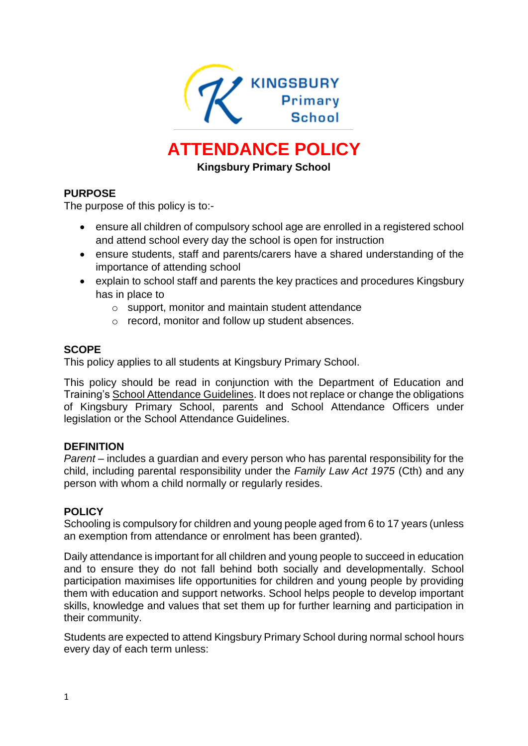

# **ATTENDANCE POLICY**

**Kingsbury Primary School** 

# **PURPOSE**

The purpose of this policy is to:-

- ensure all children of compulsory school age are enrolled in a registered school and attend school every day the school is open for instruction
- ensure students, staff and parents/carers have a shared understanding of the importance of attending school
- explain to school staff and parents the key practices and procedures Kingsbury has in place to
	- o support, monitor and maintain student attendance
	- o record, monitor and follow up student absences.

## **SCOPE**

This policy applies to all students at Kingsbury Primary School.

This policy should be read in conjunction with the Department of Education and Training'[s School Attendance Guidelines.](https://www.education.vic.gov.au/school/teachers/studentmanagement/attendance/Pages/default.aspx) It does not replace or change the obligations of Kingsbury Primary School, parents and School Attendance Officers under legislation or the School Attendance Guidelines.

#### **DEFINITION**

*Parent* – includes a guardian and every person who has parental responsibility for the child, including parental responsibility under the *Family Law Act 1975* (Cth) and any person with whom a child normally or regularly resides.

#### **POLICY**

Schooling is compulsory for children and young people aged from 6 to 17 years (unless an exemption from attendance or enrolment has been granted).

Daily attendance is important for all children and young people to succeed in education and to ensure they do not fall behind both socially and developmentally. School participation maximises life opportunities for children and young people by providing them with education and support networks. School helps people to develop important skills, knowledge and values that set them up for further learning and participation in their community.

Students are expected to attend Kingsbury Primary School during normal school hours every day of each term unless: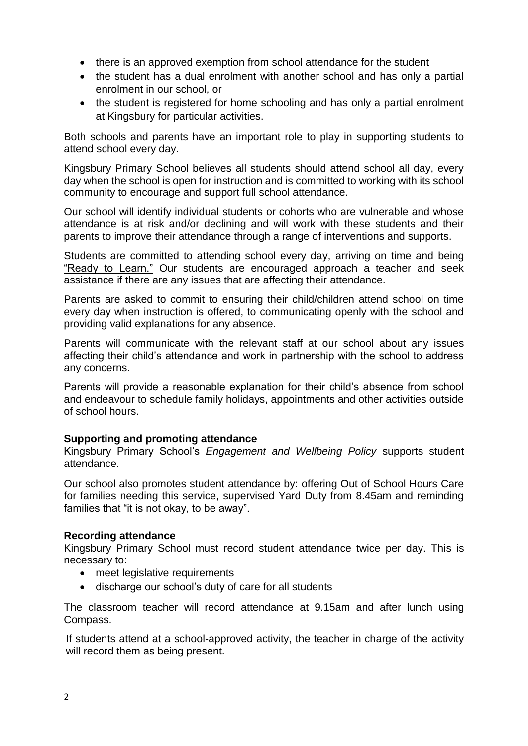- there is an approved exemption from school attendance for the student
- the student has a dual enrolment with another school and has only a partial enrolment in our school, or
- the student is registered for home schooling and has only a partial enrolment at Kingsbury for particular activities.

Both schools and parents have an important role to play in supporting students to attend school every day.

Kingsbury Primary School believes all students should attend school all day, every day when the school is open for instruction and is committed to working with its school community to encourage and support full school attendance.

Our school will identify individual students or cohorts who are vulnerable and whose attendance is at risk and/or declining and will work with these students and their parents to improve their attendance through a range of interventions and supports.

Students are committed to attending school every day, arriving on time and being "Ready to Learn." Our students are encouraged approach a teacher and seek assistance if there are any issues that are affecting their attendance.

Parents are asked to commit to ensuring their child/children attend school on time every day when instruction is offered, to communicating openly with the school and providing valid explanations for any absence.

Parents will communicate with the relevant staff at our school about any issues affecting their child's attendance and work in partnership with the school to address any concerns.

Parents will provide a reasonable explanation for their child's absence from school and endeavour to schedule family holidays, appointments and other activities outside of school hours.

# **Supporting and promoting attendance**

Kingsbury Primary School's *Engagement and Wellbeing Policy* supports student attendance.

Our school also promotes student attendance by: offering Out of School Hours Care for families needing this service, supervised Yard Duty from 8.45am and reminding families that "it is not okay, to be away".

#### **Recording attendance**

Kingsbury Primary School must record student attendance twice per day. This is necessary to:

- meet legislative requirements
- discharge our school's duty of care for all students

The classroom teacher will record attendance at 9.15am and after lunch using Compass.

If students attend at a school-approved activity, the teacher in charge of the activity will record them as being present.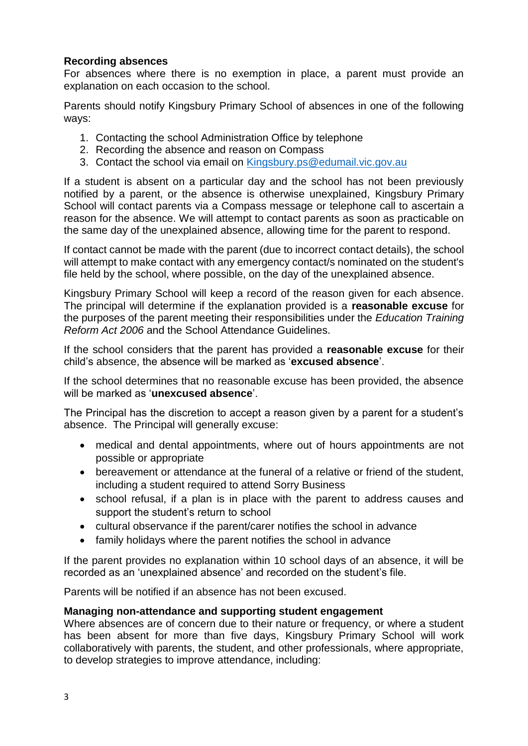## **Recording absences**

For absences where there is no exemption in place, a parent must provide an explanation on each occasion to the school.

Parents should notify Kingsbury Primary School of absences in one of the following ways:

- 1. Contacting the school Administration Office by telephone
- 2. Recording the absence and reason on Compass
- 3. Contact the school via email on [Kingsbury.ps@edumail.vic.gov.au](mailto:Kingsbury.ps@edumail.vic.gov.au)

If a student is absent on a particular day and the school has not been previously notified by a parent, or the absence is otherwise unexplained, Kingsbury Primary School will contact parents via a Compass message or telephone call to ascertain a reason for the absence. We will attempt to contact parents as soon as practicable on the same day of the unexplained absence, allowing time for the parent to respond.

If contact cannot be made with the parent (due to incorrect contact details), the school will attempt to make contact with any emergency contact/s nominated on the student's file held by the school, where possible, on the day of the unexplained absence.

Kingsbury Primary School will keep a record of the reason given for each absence. The principal will determine if the explanation provided is a **reasonable excuse** for the purposes of the parent meeting their responsibilities under the *Education Training Reform Act 2006* and the School Attendance Guidelines.

If the school considers that the parent has provided a **reasonable excuse** for their child's absence, the absence will be marked as '**excused absence**'.

If the school determines that no reasonable excuse has been provided, the absence will be marked as '**unexcused absence**'.

The Principal has the discretion to accept a reason given by a parent for a student's absence. The Principal will generally excuse:

- medical and dental appointments, where out of hours appointments are not possible or appropriate
- bereavement or attendance at the funeral of a relative or friend of the student, including a student required to attend Sorry Business
- school refusal, if a plan is in place with the parent to address causes and support the student's return to school
- cultural observance if the parent/carer notifies the school in advance
- family holidays where the parent notifies the school in advance

If the parent provides no explanation within 10 school days of an absence, it will be recorded as an 'unexplained absence' and recorded on the student's file.

Parents will be notified if an absence has not been excused.

#### **Managing non-attendance and supporting student engagement**

Where absences are of concern due to their nature or frequency, or where a student has been absent for more than five days, Kingsbury Primary School will work collaboratively with parents, the student, and other professionals, where appropriate, to develop strategies to improve attendance, including: